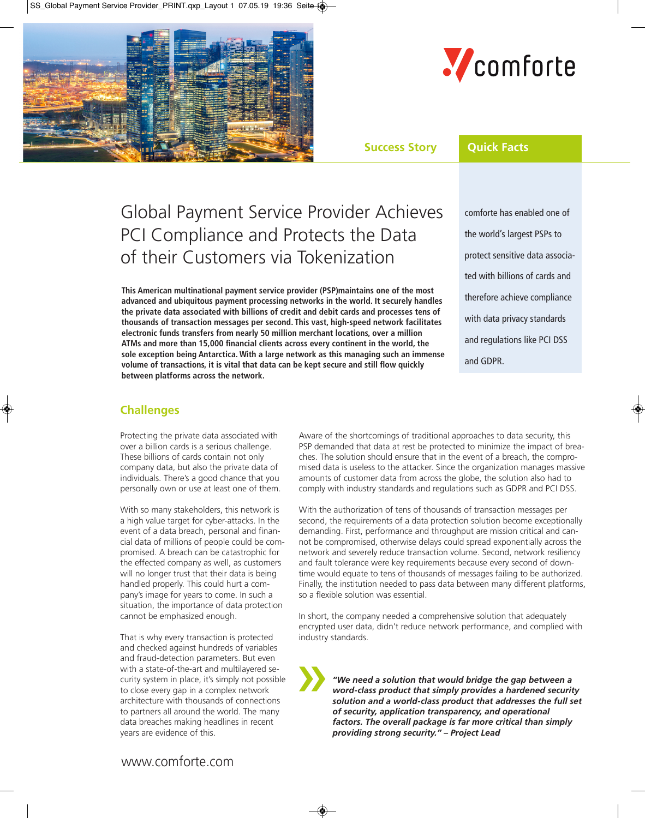



# **Success Story Quick Facts**

# Global Payment Service Provider Achieves PCI Compliance and Protects the Data of their Customers via Tokenization

**This American multinational payment service provider (PSP)maintains one of the most advanced and ubiquitous payment processing networks in the world. It securely handles the private data associated with billions of credit and debit cards and processes tens of thousands of transaction messages per second. This vast, high-speed network facilitates electronic funds transfers from nearly 50 million merchant locations, over a million ATMs and more than 15,000 financial clients across every continent in the world, the sole exception being Antarctica. With a large network as this managing such an immense volume of transactions, it is vital that data can be kept secure and still flow quickly between platforms across the network.**

comforte has enabled one of the world's largest PSPs to protect sensitive data associated with billions of cards and therefore achieve compliance with data privacy standards and regulations like PCI DSS and GDPR.

# **Challenges**

Protecting the private data associated with over a billion cards is a serious challenge. These billions of cards contain not only company data, but also the private data of individuals. There's a good chance that you personally own or use at least one of them.

With so many stakeholders, this network is a high value target for cyber-attacks. In the event of a data breach, personal and financial data of millions of people could be compromised. A breach can be catastrophic for the effected company as well, as customers will no longer trust that their data is being handled properly. This could hurt a company's image for years to come. In such a situation, the importance of data protection cannot be emphasized enough.

That is why every transaction is protected and checked against hundreds of variables and fraud-detection parameters. But even with a state-of-the-art and multilayered security system in place, it's simply not possible to close every gap in a complex network architecture with thousands of connections to partners all around the world. The many data breaches making headlines in recent years are evidence of this.

Aware of the shortcomings of traditional approaches to data security, this PSP demanded that data at rest be protected to minimize the impact of breaches. The solution should ensure that in the event of a breach, the compromised data is useless to the attacker. Since the organization manages massive amounts of customer data from across the globe, the solution also had to comply with industry standards and regulations such as GDPR and PCI DSS.

With the authorization of tens of thousands of transaction messages per second, the requirements of a data protection solution become exceptionally demanding. First, performance and throughput are mission critical and cannot be compromised, otherwise delays could spread exponentially across the network and severely reduce transaction volume. Second, network resiliency and fault tolerance were key requirements because every second of downtime would equate to tens of thousands of messages failing to be authorized. Finally, the institution needed to pass data between many different platforms, so a flexible solution was essential.

In short, the company needed a comprehensive solution that adequately encrypted user data, didn't reduce network performance, and complied with industry standards.

*"We need a solution that would bridge the gap between a word-class product that simply provides a hardened security solution and a world-class product that addresses the full set of security, application transparency, and operational factors. The overall package is far more critical than simply providing strong security." – Project Lead* »